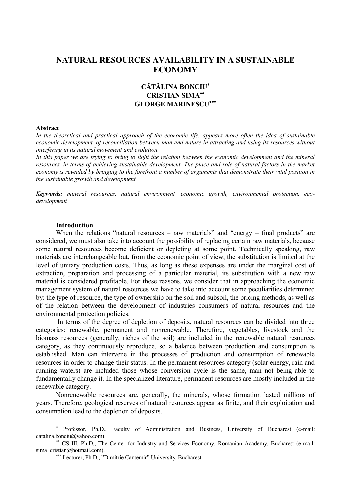# **NATURAL RESOURCES AVAILABILITY IN A SUSTAINABLE ECONOMY**

# **CĂTĂLINA BONCIU CRISTIAN SIMA GEORGE MARINESCU**

#### **Abstract**

 $\overline{a}$ 

*In the theoretical and practical approach of the economic life, appears more often the idea of sustainable economic development, of reconciliation between man and nature in attracting and using its resources without interfering in its natural movement and evolution.* 

In this paper we are trying to bring to light the relation between the economic development and the mineral *resources, in terms of achieving sustainable development. The place and role of natural factors in the market economy is revealed by bringing to the forefront a number of arguments that demonstrate their vital position in the sustainable growth and development.*

*Keywords: mineral resources, natural environment, economic growth, environmental protection, ecodevelopment*

### **Introduction**

When the relations "natural resources – raw materials" and "energy – final products" are considered, we must also take into account the possibility of replacing certain raw materials, because some natural resources become deficient or depleting at some point. Technically speaking, raw materials are interchangeable but, from the economic point of view, the substitution is limited at the level of unitary production costs. Thus, as long as these expenses are under the marginal cost of extraction, preparation and processing of a particular material, its substitution with a new raw material is considered profitable. For these reasons, we consider that in approaching the economic management system of natural resources we have to take into account some peculiarities determined by: the type of resource, the type of ownership on the soil and subsoil, the pricing methods, as well as of the relation between the development of industries consumers of natural resources and the environmental protection policies.

In terms of the degree of depletion of deposits, natural resources can be divided into three categories: renewable, permanent and nonrenewable. Therefore, vegetables, livestock and the biomass resources (generally, riches of the soil) are included in the renewable natural resources category, as they continuously reproduce, so a balance between production and consumption is established. Man can intervene in the processes of production and consumption of renewable resources in order to change their status. In the permanent resources category (solar energy, rain and running waters) are included those whose conversion cycle is the same, man not being able to fundamentally change it. In the specialized literature, permanent resources are mostly included in the renewable category.

Nonrenewable resources are, generally, the minerals, whose formation lasted millions of years. Therefore, geological reserves of natural resources appear as finite, and their exploitation and consumption lead to the depletion of deposits.

<sup>\*</sup> Professor, Ph.D., Faculty of Administration and Business, University of Bucharest (e-mail: catalina.bonciu@yahoo.com).

CS III, Ph.D., The Center for Industry and Services Economy, Romanian Academy, Bucharest (e-mail: sima\_cristian@hotmail.com).

Lecturer, Ph.D., "Dimitrie Cantemir" University, Bucharest.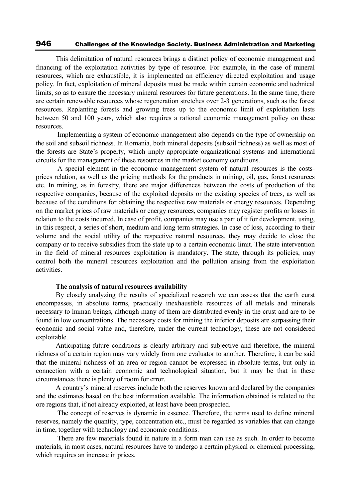This delimitation of natural resources brings a distinct policy of economic management and financing of the exploitation activities by type of resource. For example, in the case of mineral resources, which are exhaustible, it is implemented an efficiency directed exploitation and usage policy. In fact, exploitation of mineral deposits must be made within certain economic and technical limits, so as to ensure the necessary mineral resources for future generations. In the same time, there are certain renewable resources whose regeneration stretches over 2-3 generations, such as the forest resources. Replanting forests and growing trees up to the economic limit of exploitation lasts between 50 and 100 years, which also requires a rational economic management policy on these resources.

Implementing a system of economic management also depends on the type of ownership on the soil and subsoil richness. In Romania, both mineral deposits (subsoil richness) as well as most of the forests are State's property, which imply appropriate organizational systems and international circuits for the management of these resources in the market economy conditions.

A special element in the economic management system of natural resources is the costsprices relation, as well as the pricing methods for the products in mining, oil, gas, forest resources etc. In mining, as in forestry, there are major differences between the costs of production of the respective companies, because of the exploited deposits or the existing species of trees, as well as because of the conditions for obtaining the respective raw materials or energy resources. Depending on the market prices of raw materials or energy resources, companies may register profits or losses in relation to the costs incurred. In case of profit, companies may use a part of it for development, using, in this respect, a series of short, medium and long term strategies. In case of loss, according to their volume and the social utility of the respective natural resources, they may decide to close the company or to receive subsidies from the state up to a certain economic limit. The state intervention in the field of mineral resources exploitation is mandatory. The state, through its policies, may control both the mineral resources exploitation and the pollution arising from the exploitation activities.

### **The analysis of natural resources availability**

By closely analyzing the results of specialized research we can assess that the earth curst encompasses, in absolute terms, practically inexhaustible resources of all metals and minerals necessary to human beings, although many of them are distributed evenly in the crust and are to be found in low concentrations. The necessary costs for mining the inferior deposits are surpassing their economic and social value and, therefore, under the current technology, these are not considered exploitable.

Anticipating future conditions is clearly arbitrary and subjective and therefore, the mineral richness of a certain region may vary widely from one evaluator to another. Therefore, it can be said that the mineral richness of an area or region cannot be expressed in absolute terms, but only in connection with a certain economic and technological situation, but it may be that in these circumstances there is plenty of room for error.

A country's mineral reserves include both the reserves known and declared by the companies and the estimates based on the best information available. The information obtained is related to the ore regions that, if not already exploited, at least have been prospected.

The concept of reserves is dynamic in essence. Therefore, the terms used to define mineral reserves, namely the quantity, type, concentration etc., must be regarded as variables that can change in time, together with technology and economic conditions.

There are few materials found in nature in a form man can use as such. In order to become materials, in most cases, natural resources have to undergo a certain physical or chemical processing, which requires an increase in prices.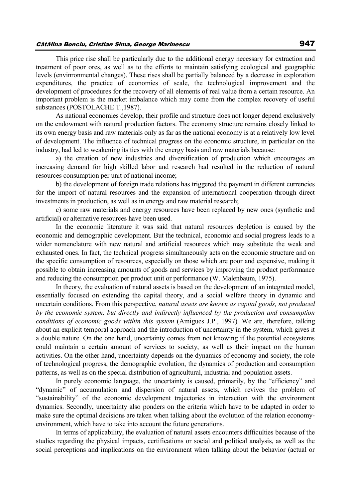### Cătălina Bonciu, Cristian Sima, George Marinescu 947

This price rise shall be particularly due to the additional energy necessary for extraction and treatment of poor ores, as well as to the efforts to maintain satisfying ecological and geographic levels (envinronmental changes). These rises shall be partially balanced by a decrease in exploration expenditures, the practice of economies of scale, the technological improvement and the development of procedures for the recovery of all elements of real value from a certain resource. An important problem is the market imbalance which may come from the complex recovery of useful substances (POSTOLACHE T.,1987).

As national economies develop, their profile and structure does not longer depend exclusively on the endowment with natural production factors. The economy structure remains closely linked to its own energy basis and raw materials only as far as the national economy is at a relatively low level of development. The influence of technical progress on the economic structure, in particular on the industry, had led to weakening its ties with the energy basis and raw materials because:

a) the creation of new industries and diversification of production which encourages an increasing demand for high skilled labor and research had resulted in the reduction of natural resources consumption per unit of national income;

b) the development of foreign trade relations has triggered the payment in different currencies for the import of natural resources and the expansion of international cooperation through direct investments in production, as well as in energy and raw material research;

c) some raw materials and energy resources have been replaced by new ones (synthetic and artificial) or alternative resources have been used.

In the economic literature it was said that natural resources depletion is caused by the economic and demographic development. But the technical, economic and social progress leads to a wider nomenclature with new natural and artificial resources which may substitute the weak and exhausted ones. In fact, the technical progress simultaneously acts on the economic structure and on the specific consumption of resources, especially on those which are poor and expensive, making it possible to obtain increasing amounts of goods and services by improving the product performance and reducing the consumption per product unit or performance (W. Malenbaum, 1975).

In theory, the evaluation of natural assets is based on the development of an integrated model, essentially focused on extending the capital theory, and a social welfare theory in dynamic and uncertain conditions. From this perspective, *natural assets are known as capital goods, not produced by the economic system, but directly and indirectly influenced by the production and consumption conditions of economic goods within this system* (Amigues J.P., 1997)*.* We are, therefore, talking about an explicit temporal approach and the introduction of uncertainty in the system, which gives it a double nature. On the one hand, uncertainty comes from not knowing if the potential ecosystems could maintain a certain amount of services to society, as well as their impact on the human activities. On the other hand, uncertainty depends on the dynamics of economy and society, the role of technological progress, the demographic evolution, the dynamics of production and consumption patterns, as well as on the special distribution of agricultural, industrial and population assets.

In purely economic language, the uncertainty is caused, primarily, by the "efficiency" and "dynamic" of accumulation and dispersion of natural assets, which revives the problem of "sustainability" of the economic development trajectories in interaction with the environment dynamics. Secondly, uncertainty also ponders on the criteria which have to be adapted in order to make sure the optimal decisions are taken when talking about the evolution of the relation economyenvironment, which have to take into account the future generations.

In terms of applicability, the evaluation of natural assets encounters difficulties because of the studies regarding the physical impacts, certifications or social and political analysis, as well as the social perceptions and implications on the environment when talking about the behavior (actual or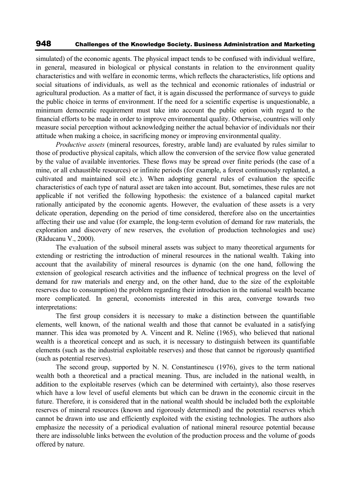simulated) of the economic agents. The physical impact tends to be confused with individual welfare, in general, measured in biological or physical constants in relation to the environment quality characteristics and with welfare in economic terms, which reflects the characteristics, life options and social situations of individuals, as well as the technical and economic rationales of industrial or agricultural production. As a matter of fact, it is again discussed the performance of surveys to guide the public choice in terms of environment. If the need for a scientific expertise is unquestionable, a minimum democratic requirement must take into account the public option with regard to the financial efforts to be made in order to improve environmental quality. Otherwise, countries will only measure social perception without acknowledging neither the actual behavior of individuals nor their attitude when making a choice, in sacrificing money or improving environmental quality.

*Productive assets* (mineral resources, forestry, arable land) are evaluated by rules similar to those of productive physical capitals, which allow the conversion of the service flow value generated by the value of available inventories. These flows may be spread over finite periods (the case of a mine, or all exhaustible resources) or infinite periods (for example, a forest continuously replanted, a cultivated and maintained soil etc.). When adopting general rules of evaluation the specific characteristics of each type of natural asset are taken into account. But, sometimes, these rules are not applicable if not verified the following hypothesis: the existence of a balanced capital market rationally anticipated by the economic agents. However, the evaluation of these assets is a very delicate operation, depending on the period of time considered, therefore also on the uncertainties affecting their use and value (for example, the long-term evolution of demand for raw materials, the exploration and discovery of new reserves, the evolution of production technologies and use) (Răducanu V., 2000).

The evaluation of the subsoil mineral assets was subject to many theoretical arguments for extending or restricting the introduction of mineral resources in the national wealth. Taking into account that the availability of mineral resources is dynamic (on the one hand, following the extension of geological research activities and the influence of technical progress on the level of demand for raw materials and energy and, on the other hand, due to the size of the exploitable reserves due to consumption) the problem regarding their introduction in the national wealth became more complicated. In general, economists interested in this area, converge towards two interpretations:

The first group considers it is necessary to make a distinction between the quantifiable elements, well known, of the national wealth and those that cannot be evaluated in a satisfying manner. This idea was promoted by A. Vincent and R. Neline (1965), who believed that national wealth is a theoretical concept and as such, it is necessary to distinguish between its quantifiable elements (such as the industrial exploitable reserves) and those that cannot be rigorously quantified (such as potential reserves).

The second group, supported by N. N. Constantinescu (1976), gives to the term national wealth both a theoretical and a practical meaning. Thus, are included in the national wealth, in addition to the exploitable reserves (which can be determined with certainty), also those reserves which have a low level of useful elements but which can be drawn in the economic circuit in the future. Therefore, it is considered that in the national wealth should be included both the exploitable reserves of mineral resources (known and rigorously determined) and the potential reserves which cannot be drawn into use and efficiently exploited with the existing technologies. The authors also emphasize the necessity of a periodical evaluation of national mineral resource potential because there are indissoluble links between the evolution of the production process and the volume of goods offered by nature.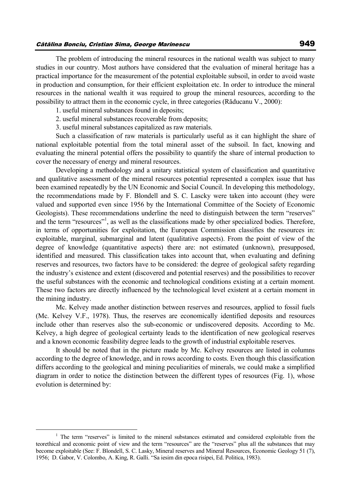The problem of introducing the mineral resources in the national wealth was subject to many studies in our country. Most authors have considered that the evaluation of mineral heritage has a practical importance for the measurement of the potential exploitable subsoil, in order to avoid waste in production and consumption, for their efficient exploitation etc. In order to introduce the mineral resources in the national wealth it was required to group the mineral resources, according to the possibility to attract them in the economic cycle, in three categories (Răducanu V., 2000):

- 1. useful mineral substances found in deposits;
- 2. useful mineral substances recoverable from deposits;
- 3. useful mineral substances capitalized as raw materials.

Such a classification of raw materials is particularly useful as it can highlight the share of national exploitable potential from the total mineral asset of the subsoil. In fact, knowing and evaluating the mineral potential offers the possibility to quantify the share of internal production to cover the necessary of energy and mineral resources.

Developing a methodology and a unitary statistical system of classification and quantitative and qualitative assessment of the mineral resources potential represented a complex issue that has been examined repeatedly by the UN Economic and Social Council. In developing this methodology, the recommendations made by F. Blondell and S. C. Lascky were taken into account (they were valued and supported even since 1956 by the International Committee of the Society of Economic Geologists). These recommendations underline the need to distinguish between the term "reserves" and the term "resources"<sup>1</sup>, as well as the classifications made by other specialized bodies. Therefore, in terms of opportunities for exploitation, the European Commission classifies the resources in: exploitable, marginal, submarginal and latent (qualitative aspects). From the point of view of the degree of knowledge (quantitative aspects) there are: not estimated (unknown), presupposed, identified and measured. This classification takes into account that, when evaluating and defining reserves and resources, two factors have to be considered: the degree of geological safety regarding the industry's existence and extent (discovered and potential reserves) and the possibilities to recover the useful substances with the economic and technological conditions existing at a certain moment. These two factors are directly influenced by the technological level existent at a certain moment in the mining industry.

Mc. Kelvey made another distinction between reserves and resources, applied to fossil fuels (Mc. Kelvey V.F., 1978). Thus, the reserves are economically identified deposits and resources include other than reserves also the sub-economic or undiscovered deposits. According to Mc. Kelvey, a high degree of geological certainty leads to the identification of new geological reserves and a known economic feasibility degree leads to the growth of industrial exploitable reserves.

It should be noted that in the picture made by Mc. Kelvey resources are listed in columns according to the degree of knowledge, and in rows according to costs. Even though this classification differs according to the geological and mining peculiarities of minerals, we could make a simplified diagram in order to notice the distinction between the different types of resources (Fig. 1), whose evolution is determined by:

 $\overline{a}$ 

<sup>&</sup>lt;sup>1</sup> The term "reserves" is limited to the mineral substances estimated and considered exploitable from the teorethical and economic point of view and the term "resources" are the "reserves" plus all the substances that may become exploitable (See: F. Blondell, S. C. Lasky, Mineral reserves and Mineral Resources, Economic Geology 51 (7), 1956; D. Gabor, V. Colombo, A. King, R. Galli. "Sa iesim din epoca risipei, Ed. Politica, 1983).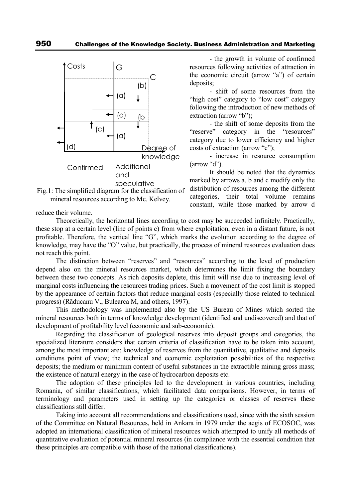



reduce their volume.

- the growth in volume of confirmed resources following activities of attraction in the economic circuit (arrow "a") of certain deposits;

- shift of some resources from the "high cost" category to "low cost" category following the introduction of new methods of extraction (arrow "b");

- the shift of some deposits from the "reserve" category in the "resources" category due to lower efficiency and higher costs of extraction (arrow "c");

- increase in resource consumption (arrow "d").

It should be noted that the dynamics marked by arrows a, b and c modify only the distribution of resources among the different categories, their total volume remains constant, while those marked by arrow d

these stop at a certain level (line of points c) from where exploitation, even in a distant future, is not profitable. Therefore, the vertical line "G", which marks the evolution according to the degree of knowledge, may have the "O" value, but practically, the process of mineral resources evaluation does not reach this point. The distinction between "reserves" and "resources" according to the level of production

Theoretically, the horizontal lines according to cost may be succeeded infinitely. Practically,

depend also on the mineral resources market, which determines the limit fixing the boundary between these two concepts. As rich deposits deplete, this limit will rise due to increasing level of marginal costs influencing the resources trading prices. Such a movement of the cost limit is stopped by the appearance of certain factors that reduce marginal costs (especially those related to technical progress) (Răducanu V., Bulearca M, and others, 1997).

This methodology was implemented also by the US Bureau of Mines which sorted the mineral resources both in terms of knowledge development (identified and undiscovered) and that of development of profitability level (economic and sub-economic).

Regarding the classification of geological reserves into deposit groups and categories, the specialized literature considers that certain criteria of classification have to be taken into account, among the most important are: knowledge of reserves from the quantitative, qualitative and deposits conditions point of view; the technical and economic exploitation possibilities of the respective deposits; the medium or minimum content of useful substances in the extractible mining gross mass; the existence of natural energy in the case of hydrocarbon deposits etc.

The adoption of these principles led to the development in various countries, including Romania, of similar classifications, which facilitated data comparisons. However, in terms of terminology and parameters used in setting up the categories or classes of reserves these classifications still differ.

Taking into account all recommendations and classifications used, since with the sixth session of the Committee on Natural Resources, held in Ankara in 1979 under the aegis of ECOSOC, was adopted an international classification of mineral resources which attempted to unify all methods of quantitative evaluation of potential mineral resources (in compliance with the essential condition that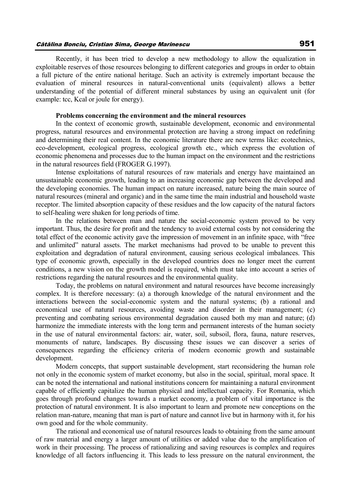Recently, it has been tried to develop a new methodology to allow the equalization in exploitable reserves of those resources belonging to different categories and groups in order to obtain a full picture of the entire national heritage. Such an activity is extremely important because the evaluation of mineral resources in natural-conventional units (equivalent) allows a better understanding of the potential of different mineral substances by using an equivalent unit (for example: tcc, Kcal or joule for energy).

#### **Problems concerning the environment and the mineral resources**

In the context of economic growth, sustainable development, economic and environmental progress, natural resources and environmental protection are having a strong impact on redefining and determining their real content. In the economic literature there are new terms like: ecotechnics, eco-development, ecological progress, ecological growth etc., which express the evolution of economic phenomena and processes due to the human impact on the environment and the restrictions in the natural resources field (FROGER G.1997).

Intense exploitations of natural resources of raw materials and energy have maintained an unsustainable economic growth, leading to an increasing economic gap between the developed and the developing economies. The human impact on nature increased, nature being the main source of natural resources (mineral and organic) and in the same time the main industrial and household waste receptor. The limited absorption capacity of these residues and the low capacity of the natural factors to self-healing were shaken for long periods of time.

In the relations between man and nature the social-economic system proved to be very important. Thus, the desire for profit and the tendency to avoid external costs by not considering the total effect of the economic activity gave the impression of movement in an infinite space, with "free and unlimited" natural assets. The market mechanisms had proved to be unable to prevent this exploitation and degradation of natural environment, causing serious ecological imbalances. This type of economic growth, especially in the developed countries does no longer meet the current conditions, a new vision on the growth model is required, which must take into account a series of restrictions regarding the natural resources and the environmental quality.

Today, the problems on natural environment and natural resources have become increasingly complex. It is therefore necessary: (a) a thorough knowledge of the natural environment and the interactions between the social-economic system and the natural systems; (b) a rational and economical use of natural resources, avoiding waste and disorder in their management; (c) preventing and combating serious environmental degradation caused both my man and nature; (d) harmonize the immediate interests with the long term and permanent interests of the human society in the use of natural environmental factors: air, water, soil, subsoil, flora, fauna, nature reserves, monuments of nature, landscapes. By discussing these issues we can discover a series of consequences regarding the efficiency criteria of modern economic growth and sustainable development.

Modern concepts, that support sustainable development, start reconsidering the human role not only in the economic system of market economy, but also in the social, spiritual, moral space. It can be noted the international and national institutions concern for maintaining a natural environment capable of efficiently capitalize the human physical and intellectual capacity. For Romania, which goes through profound changes towards a market economy, a problem of vital importance is the protection of natural environment. It is also important to learn and promote new conceptions on the relation man-nature, meaning that man is part of nature and cannot live but in harmony with it, for his own good and for the whole community.

The rational and economical use of natural resources leads to obtaining from the same amount of raw material and energy a larger amount of utilities or added value due to the amplification of work in their processing. The process of rationalizing and saving resources is complex and requires knowledge of all factors influencing it. This leads to less pressure on the natural environment, the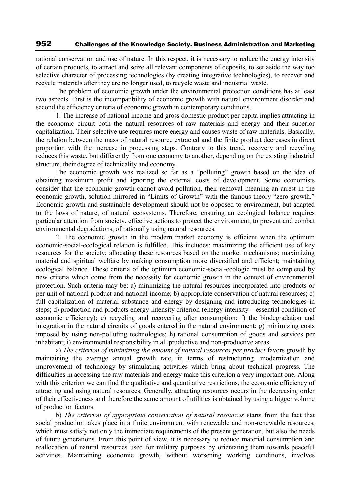rational conservation and use of nature. In this respect, it is necessary to reduce the energy intensity of certain products, to attract and seize all relevant components of deposits, to set aside the way too selective character of processing technologies (by creating integrative technologies), to recover and recycle materials after they are no longer used, to recycle waste and industrial waste.

The problem of economic growth under the environmental protection conditions has at least two aspects. First is the incompatibility of economic growth with natural environment disorder and second the efficiency criteria of economic growth in contemporary conditions.

1. The increase of national income and gross domestic product per capita implies attracting in the economic circuit both the natural resources of raw materials and energy and their superior capitalization. Their selective use requires more energy and causes waste of raw materials. Basically, the relation between the mass of natural resource extracted and the finite product decreases in direct proportion with the increase in processing steps. Contrary to this trend, recovery and recycling reduces this waste, but differently from one economy to another, depending on the existing industrial structure, their degree of technicality and economy.

The economic growth was realized so far as a "polluting" growth based on the idea of obtaining maximum profit and ignoring the external costs of development. Some economists consider that the economic growth cannot avoid pollution, their removal meaning an arrest in the economic growth, solution mirrored in "Limits of Growth" with the famous theory "zero growth." Economic growth and sustainable development should not be opposed to environment, but adapted to the laws of nature, of natural ecosystems. Therefore, ensuring an ecological balance requires particular attention from society, effective actions to protect the environment, to prevent and combat environmental degradations, of rationally using natural resources.

2. The economic growth in the modern market economy is efficient when the optimum economic-social-ecological relation is fulfilled. This includes: maximizing the efficient use of key resources for the society; allocating these resources based on the market mechanisms; maximizing material and spiritual welfare by making consumption more diversified and efficient; maintaining ecological balance. These criteria of the optimum economic-social-ecologic must be completed by new criteria which come from the necessity for economic growth in the context of environmental protection. Such criteria may be: a) minimizing the natural resources incorporated into products or per unit of national product and national income; b) appropriate conservation of natural resources; c) full capitalization of material substance and energy by designing and introducing technologies in steps; d) production and products energy intensity criterion (energy intensity – essential condition of economic efficiency); e) recycling and recovering after consumption; f) the biodegradation and integration in the natural circuits of goods entered in the natural environment; g) minimizing costs imposed by using non-polluting technologies; h) rational consumption of goods and services per inhabitant; i) environmental responsibility in all productive and non-productive areas.

a) *The criterion of minimizing the amount of natural resources per product* favors growth by maintaining the average annual growth rate, in terms of restructuring, modernization and improvement of technology by stimulating activities which bring about technical progress. The difficulties in accessing the raw materials and energy make this criterion a very important one. Along with this criterion we can find the qualitative and quantitative restrictions, the economic efficiency of attracting and using natural resources. Generally, attracting resources occurs in the decreasing order of their effectiveness and therefore the same amount of utilities is obtained by using a bigger volume of production factors.

b) *The criterion of appropriate conservation of natural resources* starts from the fact that social production takes place in a finite environment with renewable and non-renewable resources, which must satisfy not only the immediate requirements of the present generation, but also the needs of future generations. From this point of view, it is necessary to reduce material consumption and reallocation of natural resources used for military purposes by orientating them towards peaceful activities. Maintaining economic growth, without worsening working conditions, involves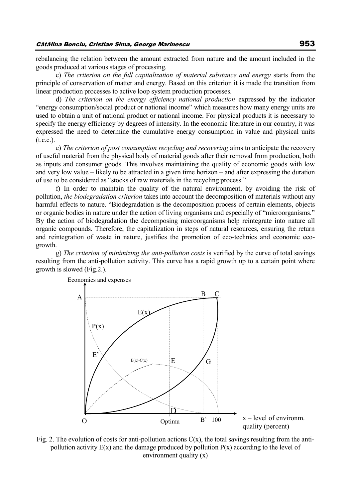rebalancing the relation between the amount extracted from nature and the amount included in the goods produced at various stages of processing.

c) *The criterion on the full capitalization of material substance and energy* starts from the principle of conservation of matter and energy. Based on this criterion it is made the transition from linear production processes to active loop system production processes.

d) *The criterion on the energy efficiency national production* expressed by the indicator "energy consumption/social product or national income" which measures how many energy units are used to obtain a unit of national product or national income. For physical products it is necessary to specify the energy efficiency by degrees of intensity. In the economic literature in our country, it was expressed the need to determine the cumulative energy consumption in value and physical units  $(t.c.c.).$ 

e) *The criterion of post consumption recycling and recovering* aims to anticipate the recovery of useful material from the physical body of material goods after their removal from production, both as inputs and consumer goods. This involves maintaining the quality of economic goods with low and very low value – likely to be attracted in a given time horizon – and after expressing the duration of use to be considered as "stocks of raw materials in the recycling process."

f) In order to maintain the quality of the natural environment, by avoiding the risk of pollution, *the biodegradation criterion* takes into account the decomposition of materials without any harmful effects to nature. "Biodegradation is the decomposition process of certain elements, objects or organic bodies in nature under the action of living organisms and especially of "microorganisms." By the action of biodegradation the decomposing microorganisms help reintegrate into nature all organic compounds. Therefore, the capitalization in steps of natural resources, ensuring the return and reintegration of waste in nature, justifies the promotion of eco-technics and economic ecogrowth.

g) *The criterion of minimizing the anti-pollution costs* is verified by the curve of total savings resulting from the anti-pollution activity. This curve has a rapid growth up to a certain point where growth is slowed (Fig.2.).



Fig. 2. The evolution of costs for anti-pollution actions  $C(x)$ , the total savings resulting from the antipollution activity  $E(x)$  and the damage produced by pollution  $P(x)$  according to the level of environment quality (x)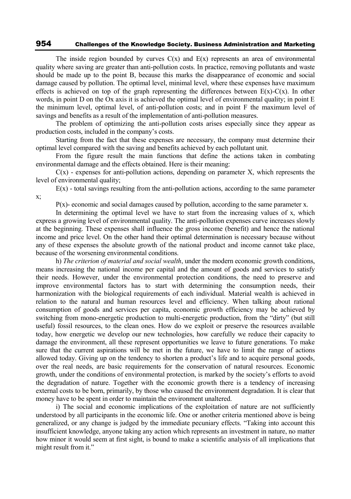The inside region bounded by curves  $C(x)$  and  $E(x)$  represents an area of environmental quality where saving are greater than anti-pollution costs. In practice, removing pollutants and waste should be made up to the point B, because this marks the disappearance of economic and social damage caused by pollution. The optimal level, minimal level, where these expenses have maximum effects is achieved on top of the graph representing the differences between  $E(x)-C(x)$ . In other words, in point D on the Ox axis it is achieved the optimal level of environmental quality; in point E the minimum level, optimal level, of anti-pollution costs; and in point F the maximum level of savings and benefits as a result of the implementation of anti-pollution measures.

The problem of optimizing the anti-pollution costs arises especially since they appear as production costs, included in the company's costs.

Starting from the fact that these expenses are necessary, the company must determine their optimal level compared with the saving and benefits achieved by each pollutant unit.

From the figure result the main functions that define the actions taken in combating environmental damage and the effects obtained. Here is their meaning:

 $C(x)$  - expenses for anti-pollution actions, depending on parameter X, which represents the level of environmental quality;

 $E(x)$  - total savings resulting from the anti-pollution actions, according to the same parameter x;

 $P(x)$ - economic and social damages caused by pollution, according to the same parameter x.

In determining the optimal level we have to start from the increasing values of x, which express a growing level of environmental quality. The anti-pollution expenses curve increases slowly at the beginning. These expenses shall influence the gross income (benefit) and hence the national income and price level. On the other hand their optimal determination is necessary because without any of these expenses the absolute growth of the national product and income cannot take place, because of the worsening environmental conditions.

h) *The criterion of material and social wealth*, under the modern economic growth conditions, means increasing the national income per capital and the amount of goods and services to satisfy their needs. However, under the environmental protection conditions, the need to preserve and improve environmental factors has to start with determining the consumption needs, their harmonization with the biological requirements of each individual. Material wealth is achieved in relation to the natural and human resources level and efficiency. When talking about rational consumption of goods and services per capita, economic growth efficiency may be achieved by switching from mono-energetic production to multi-energetic production, from the "dirty" (but still useful) fossil resources, to the clean ones. How do we exploit or preserve the resources available today, how energetic we develop our new technologies, how carefully we reduce their capacity to damage the environment, all these represent opportunities we leave to future generations. To make sure that the current aspirations will be met in the future, we have to limit the range of actions allowed today. Giving up on the tendency to shorten a product's life and to acquire personal goods, over the real needs, are basic requirements for the conservation of natural resources. Economic growth, under the conditions of environmental protection, is marked by the society's efforts to avoid the degradation of nature. Together with the economic growth there is a tendency of increasing external costs to be born, primarily, by those who caused the environment degradation. It is clear that money have to be spent in order to maintain the environment unaltered.

i) The social and economic implications of the exploitation of nature are not sufficiently understood by all participants in the economic life. One or another criteria mentioned above is being generalized, or any change is judged by the immediate pecuniary effects. "Taking into account this insufficient knowledge, anyone taking any action which represents an investment in nature, no matter how minor it would seem at first sight, is bound to make a scientific analysis of all implications that might result from it."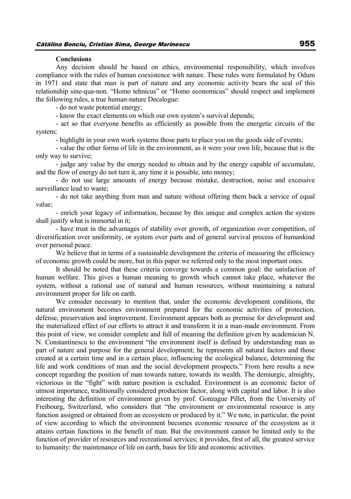#### **Conclusions**

Any decision should be based on ethics, environmental responsibility, which involves compliance with the rules of human coexistence with nature. These rules were formulated by Odum in 1971 and state that man is part of nature and any economic activity bears the seal of this relationship sine-qua-non. "Homo tehnicus" or "Homo economicus" should respect and implement the following rules, a true human-nature Decalogue:

- do not waste potential energy;

- know the exact elements on which our own system's survival depends;

- act so that everyone benefits as efficiently as possible from the energetic circuits of the system;

- highlight in your own work systems those parts to place you on the goods side of events;

- value the other forms of life in the environment, as it were your own life, because that is the only way to survive;

- judge any value by the energy needed to obtain and by the energy capable of accumulate, and the flow of energy do not turn it, any time it is possible, into money;

- do not use large amounts of energy because mistake, destruction, noise and excessive surveillance lead to waste;

- do not take anything from man and nature without offering them back a service of equal value;

- enrich your legacy of information, because by this unique and complex action the system shall justify what is immortal in it;

- have trust in the advantages of stability over growth, of organization over competition, of diversification over uniformity, or system over parts and of general survival process of humankind over personal peace.

We believe that in terms of a sustainable development the criteria of measuring the efficiency of economic growth could be more, but in this paper we referred only to the most important ones.

It should be noted that these criteria converge towards a common goal: the satisfaction of human welfare. This gives a human meaning to growth which cannot take place, whatever the system, without a rational use of natural and human resources, without maintaining a natural environment proper for life on earth.

We consider necessary to mention that, under the economic development conditions, the natural environment becomes environment prepared for the economic activities of protection, defense, preservation and improvement. Environment appears both as premise for development and the materialized effect of our efforts to attract it and transform it in a man-made environment. From this point of view, we consider complete and full of meaning the definition given by academician N. N. Constantinescu to the environment "the environment itself is defined by understanding man as part of nature and purpose for the general development; he represents all natural factors and those created at a certain time and in a certain place, influencing the ecological balance, determining the life and work conditions of man and the social development prospects." From here results a new concept regarding the position of man towards nature, towards its wealth. The demiurgic, almighty, victorious in the "fight" with nature position is excluded. Environment is an economic factor of utmost importance, traditionally considered production factor, along with capital and labor. It is also interesting the definition of environment given by prof. Gonzague Pillet, from the University of Freibourg, Switzerland, who considers that "the environment or environmental resource is any function assigned or obtained from an ecosystem or produced by it." We note, in particular, the point of view according to which the environment becomes economic resource of the ecosystem as it attains certain functions in the benefit of man. But the environment cannot be limited only to the function of provider of resources and recreational services; it provides, first of all, the greatest service to humanity: the maintenance of life on earth, basis for life and economic activities.